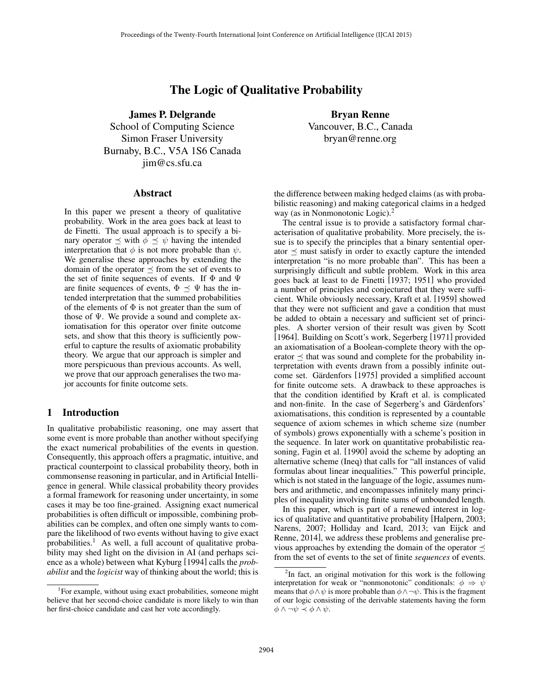# The Logic of Qualitative Probability

James P. Delgrande

School of Computing Science Simon Fraser University Burnaby, B.C., V5A 1S6 Canada jim@cs.sfu.ca

### Abstract

In this paper we present a theory of qualitative probability. Work in the area goes back at least to de Finetti. The usual approach is to specify a binary operator  $\preceq$  with  $\phi \preceq \psi$  having the intended interpretation that  $\phi$  is not more probable than  $\psi$ . We generalise these approaches by extending the domain of the operator  $\preceq$  from the set of events to the set of finite sequences of events. If  $\Phi$  and  $\Psi$ are finite sequences of events,  $\Phi \preceq \Psi$  has the intended interpretation that the summed probabilities of the elements of  $\Phi$  is not greater than the sum of those of  $\Psi$ . We provide a sound and complete axiomatisation for this operator over finite outcome sets, and show that this theory is sufficiently powerful to capture the results of axiomatic probability theory. We argue that our approach is simpler and more perspicuous than previous accounts. As well, we prove that our approach generalises the two major accounts for finite outcome sets.

### 1 Introduction

In qualitative probabilistic reasoning, one may assert that some event is more probable than another without specifying the exact numerical probabilities of the events in question. Consequently, this approach offers a pragmatic, intuitive, and practical counterpoint to classical probability theory, both in commonsense reasoning in particular, and in Artificial Intelligence in general. While classical probability theory provides a formal framework for reasoning under uncertainty, in some cases it may be too fine-grained. Assigning exact numerical probabilities is often difficult or impossible, combining probabilities can be complex, and often one simply wants to compare the likelihood of two events without having to give exact probabilities.<sup>1</sup> As well, a full account of qualitative probability may shed light on the division in AI (and perhaps science as a whole) between what Kyburg [1994] calls the *probabilist* and the *logicist* way of thinking about the world; this is

Bryan Renne Vancouver, B.C., Canada bryan@renne.org

the difference between making hedged claims (as with probabilistic reasoning) and making categorical claims in a hedged way (as in Nonmonotonic Logic).<sup>2</sup>

The central issue is to provide a satisfactory formal characterisation of qualitative probability. More precisely, the issue is to specify the principles that a binary sentential operator  $\preceq$  must satisfy in order to exactly capture the intended interpretation "is no more probable than". This has been a surprisingly difficult and subtle problem. Work in this area goes back at least to de Finetti [1937; 1951] who provided a number of principles and conjectured that they were sufficient. While obviously necessary, Kraft et al. [1959] showed that they were not sufficient and gave a condition that must be added to obtain a necessary and sufficient set of principles. A shorter version of their result was given by Scott [1964]. Building on Scott's work, Segerberg [1971] provided an axiomatisation of a Boolean-complete theory with the operator  $\prec$  that was sound and complete for the probability interpretation with events drawn from a possibly infinite outcome set. Gärdenfors [1975] provided a simplified account for finite outcome sets. A drawback to these approaches is that the condition identified by Kraft et al. is complicated and non-finite. In the case of Segerberg's and Gärdenfors' axiomatisations, this condition is represented by a countable sequence of axiom schemes in which scheme size (number of symbols) grows exponentially with a scheme's position in the sequence. In later work on quantitative probabilistic reasoning, Fagin et al. [1990] avoid the scheme by adopting an alternative scheme (Ineq) that calls for "all instances of valid formulas about linear inequalities." This powerful principle, which is not stated in the language of the logic, assumes numbers and arithmetic, and encompasses infinitely many principles of inequality involving finite sums of unbounded length.

In this paper, which is part of a renewed interest in logics of qualitative and quantitative probability [Halpern, 2003; Narens, 2007; Holliday and Icard, 2013; van Eijck and Renne, 2014], we address these problems and generalise previous approaches by extending the domain of the operator  $\preceq$ from the set of events to the set of finite *sequences* of events.

<sup>&</sup>lt;sup>1</sup>For example, without using exact probabilities, someone might believe that her second-choice candidate is more likely to win than her first-choice candidate and cast her vote accordingly.

 $2$ In fact, an original motivation for this work is the following interpretation for weak or "nonmonotonic" conditionals:  $\phi \Rightarrow \psi$ means that  $\phi \land \psi$  is more probable than  $\phi \land \neg \psi$ . This is the fragment of our logic consisting of the derivable statements having the form  $\phi \land \neg \psi \prec \phi \land \psi$ .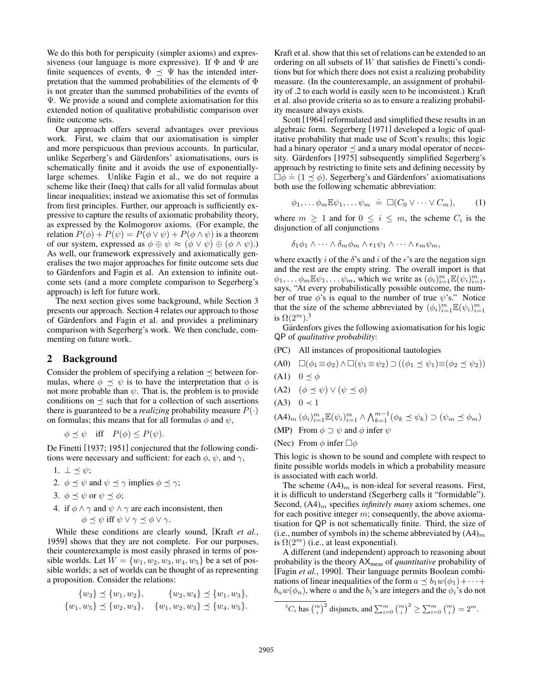We do this both for perspicuity (simpler axioms) and expressiveness (our language is more expressive). If  $\Phi$  and  $\Psi$  are finite sequences of events,  $\Phi \preceq \Psi$  has the intended interpretation that the summed probabilities of the elements of Φ is not greater than the summed probabilities of the events of Ψ. We provide a sound and complete axiomatisation for this extended notion of qualitative probabilistic comparison over finite outcome sets.

Our approach offers several advantages over previous work. First, we claim that our axiomatisation is simpler and more perspicuous than previous accounts. In particular, unlike Segerberg's and Gärdenfors' axiomatisations, ours is schematically finite and it avoids the use of exponentiallylarge schemes. Unlike Fagin et al., we do not require a scheme like their (Ineq) that calls for all valid formulas about linear inequalities; instead we axiomatise this set of formulas from first principles. Further, our approach is sufficiently expressive to capture the results of axiomatic probability theory, as expressed by the Kolmogorov axioms. (For example, the relation  $P(\phi) + P(\psi) = P(\phi \lor \psi) + P(\phi \land \psi)$  is a theorem of our system, expressed as  $\phi \oplus \psi \approx (\phi \vee \psi) \oplus (\phi \wedge \psi)$ .) As well, our framework expressively and axiomatically generalises the two major approaches for finite outcome sets due to Gärdenfors and Fagin et al. An extension to infinite outcome sets (and a more complete comparison to Segerberg's approach) is left for future work.

The next section gives some background, while Section 3 presents our approach. Section 4 relates our approach to those of Gärdenfors and Fagin et al. and provides a preliminary comparison with Segerberg's work. We then conclude, commenting on future work.

# 2 Background

Consider the problem of specifying a relation  $\prec$  between formulas, where  $\phi \preceq \psi$  is to have the interpretation that  $\phi$  is not more probable than  $\psi$ . That is, the problem is to provide conditions on  $\preceq$  such that for a collection of such assertions there is guaranteed to be a *realizing* probability measure  $P(\cdot)$ on formulas; this means that for all formulas  $\phi$  and  $\psi$ ,

$$
\phi \preceq \psi
$$
 iff  $P(\phi) \leq P(\psi)$ .

De Finetti [1937; 1951] conjectured that the following conditions were necessary and sufficient: for each  $\phi$ ,  $\psi$ , and  $\gamma$ ,

- 1.  $\perp \leq \psi$ ;
- 2.  $\phi \preceq \psi$  and  $\psi \preceq \gamma$  implies  $\phi \preceq \gamma$ ;
- 3.  $\phi \prec \psi$  or  $\psi \prec \phi$ ;
- 4. if  $\phi \land \gamma$  and  $\psi \land \gamma$  are each inconsistent, then  $\phi \prec \psi$  iff  $\psi \lor \gamma \prec \phi \lor \gamma$ .

While these conditions are clearly sound, [Kraft *et al.*, 1959] shows that they are not complete. For our purposes, their counterexample is most easily phrased in terms of possible worlds. Let  $W = \{w_1, w_2, w_3, w_4, w_5\}$  be a set of possible worlds; a set of worlds can be thought of as representing a proposition. Consider the relations:

$$
\{w_3\} \preceq \{w_1, w_2\}, \qquad \{w_2, w_4\} \preceq \{w_1, w_3\},\{w_1, w_5\} \preceq \{w_2, w_3\}, \quad \{w_1, w_2, w_3\} \preceq \{w_4, w_5\}.
$$

Kraft et al. show that this set of relations can be extended to an ordering on all subsets of W that satisfies de Finetti's conditions but for which there does not exist a realizing probability measure. (In the counterexample, an assignment of probability of .2 to each world is easily seen to be inconsistent.) Kraft et al. also provide criteria so as to ensure a realizing probability measure always exists.

Scott [1964] reformulated and simplified these results in an algebraic form. Segerberg [1971] developed a logic of qualitative probability that made use of Scott's results; this logic had a binary operator  $\preceq$  and a unary modal operator of necessity. Gärdenfors [1975] subsequently simplified Segerberg's approach by restricting to finite sets and defining necessity by approach by resulting to finite sets and defining fields by by  $\Box \phi \doteq (1 \preceq \phi)$ . Segerberg's and Gärdenfors' axiomatisations both use the following schematic abbreviation:

$$
\phi_1, \ldots \phi_m \mathbb{E} \psi_1, \ldots \psi_m \doteq \Box(C_0 \vee \cdots \vee C_m), \qquad (1)
$$

where  $m \geq 1$  and for  $0 \leq i \leq m$ , the scheme  $C_i$  is the disjunction of all conjunctions

$$
\delta_1 \phi_1 \wedge \cdots \wedge \delta_m \phi_m \wedge \epsilon_1 \psi_1 \wedge \cdots \wedge \epsilon_m \psi_m,
$$

where exactly i of the  $\delta$ 's and i of the  $\epsilon$ 's are the negation sign and the rest are the empty string. The overall import is that  $\phi_1, \ldots, \phi_m \mathbb{E} \psi_1, \ldots, \psi_m$ , which we write as  $(\phi_i)_{i=1}^m \mathbb{E} (\psi_i)_{i=1}^m$ , says, "At every probabilistically possible outcome, the number of true  $\phi$ 's is equal to the number of true  $\psi$ 's." Notice that the size of the scheme abbreviated by  $(\phi_i)_{i=1}^m \mathbb{E}(\psi_i)_{i=1}^m$ is  $\Omega(2^m).^3$ 

Gärdenfors gives the following axiomatisation for his logic QP of *qualitative probability*:

(PC) All instances of propositional tautologies

$$
(A0) \quad \Box(\phi_1 \equiv \phi_2) \land \Box(\psi_1 \equiv \psi_2) \supset ((\phi_1 \preceq \psi_1) \equiv (\phi_2 \preceq \psi_2))
$$

- $(A1)$   $0 \le \phi$
- (A2)  $(\phi \preceq \psi) \vee (\psi \preceq \phi)$
- $(A3)$  0  $\prec$  1

$$
(\mathbf{A4})_m \left(\phi_i\right)_{i=1}^m \mathbb{E}(\psi_i)_{i=1}^m \wedge \bigwedge_{k=1}^{m-1} \left(\phi_k \preceq \psi_k\right) \supset \left(\psi_m \preceq \phi_m\right)
$$

- (MP) From  $\phi \supset \psi$  and  $\phi$  infer  $\psi$
- (Nec) From  $\phi$  infer  $\Box \phi$

This logic is shown to be sound and complete with respect to finite possible worlds models in which a probability measure is associated with each world.

The scheme  $(A4)_m$  is non-ideal for several reasons. First, it is difficult to understand (Segerberg calls it "formidable"). Second,  $(A4)<sub>m</sub>$  specifies *infinitely many* axiom schemes, one for each positive integer  $m$ ; consequently, the above axiomatisation for QP is not schematically finite. Third, the size of (i.e., number of symbols in) the scheme abbreviated by  $(A4)_m$ is  $\Omega(2^m)$  (i.e., at least exponential).

A different (and independent) approach to reasoning about probability is the theory AXmeas of *quantitative* probability of [Fagin *et al.*, 1990]. Their language permits Boolean combinations of linear inequalities of the form  $a \preceq b_1w(\phi_1)+\cdots+$  $b_n w(\phi_n)$ , where a and the  $b_i$ 's are integers and the  $\phi_i$ 's do not

$$
{}^{3}C_{i} \text{ has } \binom{m}{i}^{2} \text{ disjuncts, and } \sum_{i=0}^{m} \binom{m}{i}^{2} \geq \sum_{i=0}^{m} \binom{m}{i} = 2^{m}.
$$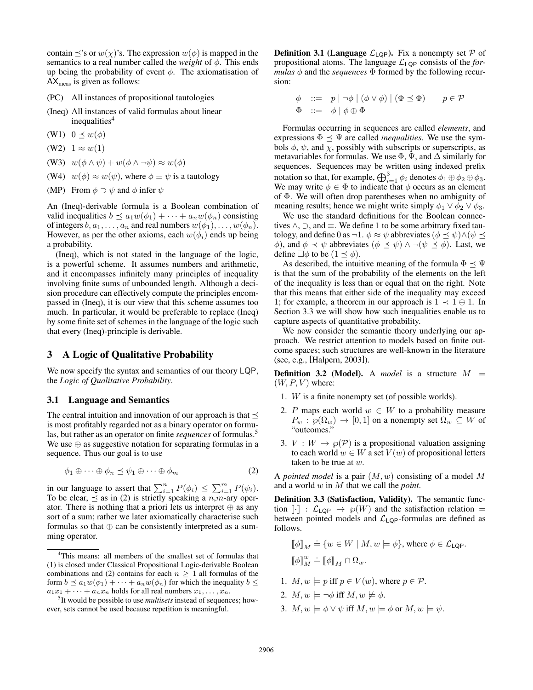contain  $\preceq$ 's or  $w(\chi)$ 's. The expression  $w(\phi)$  is mapped in the semantics to a real number called the *weight* of  $\phi$ . This ends up being the probability of event  $\phi$ . The axiomatisation of  $AX_{\text{meas}}$  is given as follows:

(PC) All instances of propositional tautologies

(Ineq) All instances of valid formulas about linear  $inequalities<sup>4</sup>$ 

(W1)  $0 \leq w(\phi)$ 

- (W2)  $1 \approx w(1)$
- (W3)  $w(\phi \wedge \psi) + w(\phi \wedge \neg \psi) \approx w(\phi)$
- (W4)  $w(\phi) \approx w(\psi)$ , where  $\phi \equiv \psi$  is a tautology
- (MP) From  $\phi \supset \psi$  and  $\phi$  infer  $\psi$

An (Ineq)-derivable formula is a Boolean combination of valid inequalities  $b \preceq a_1w(\phi_1) + \cdots + a_nw(\phi_n)$  consisting of integers  $b, a_1, \ldots, a_n$  and real numbers  $w(\phi_1), \ldots, w(\phi_n)$ . However, as per the other axioms, each  $w(\phi_i)$  ends up being a probability.

(Ineq), which is not stated in the language of the logic, is a powerful scheme. It assumes numbers and arithmetic, and it encompasses infinitely many principles of inequality involving finite sums of unbounded length. Although a decision procedure can effectively compute the principles encompassed in (Ineq), it is our view that this scheme assumes too much. In particular, it would be preferable to replace (Ineq) by some finite set of schemes in the language of the logic such that every (Ineq)-principle is derivable.

## 3 A Logic of Qualitative Probability

We now specify the syntax and semantics of our theory LQP, the *Logic of Qualitative Probability*.

#### 3.1 Language and Semantics

The central intuition and innovation of our approach is that  $\prec$ is most profitably regarded not as a binary operator on formulas, but rather as an operator on finite *sequences* of formulas.<sup>5</sup> We use ⊕ as suggestive notation for separating formulas in a sequence. Thus our goal is to use

$$
\phi_1 \oplus \cdots \oplus \phi_n \preceq \psi_1 \oplus \cdots \oplus \phi_m \tag{2}
$$

in our language to assert that  $\sum_{i=1}^{n} P(\phi_i) \leq \sum_{i=1}^{m} P(\psi_i)$ . To be clear,  $\preceq$  as in (2) is strictly speaking a  $n, m$ -ary operator. There is nothing that a priori lets us interpret  $\oplus$  as any sort of a sum; rather we later axiomatically characterise such formulas so that  $oplus$  can be consistently interpreted as a summing operator.

**Definition 3.1 (Language**  $\mathcal{L}_{LQP}$ ). Fix a nonempty set  $\mathcal{P}$  of propositional atoms. The language  $\mathcal{L}_{\text{LQP}}$  consists of the *formulas*  $\phi$  and the *sequences*  $\Phi$  formed by the following recursion:

$$
\begin{array}{rcl}\n\phi & ::= & p \mid \neg \phi \mid (\phi \lor \phi) \mid (\Phi \preceq \Phi) & p \in \mathcal{P} \\
\Phi & ::= & \phi \mid \phi \oplus \Phi\n\end{array}
$$

Formulas occurring in sequences are called *elements*, and expressions  $\Phi \preceq \Psi$  are called *inequalities*. We use the symbols  $\phi$ ,  $\psi$ , and  $\chi$ , possibly with subscripts or superscripts, as metavariables for formulas. We use  $\Phi$ ,  $\Psi$ , and  $\Delta$  similarly for sequences. Sequences may be written using indexed prefix notation so that, for example,  $\bigoplus_{i=1}^3 \phi_i$  denotes  $\phi_1 \oplus \phi_2 \oplus \phi_3$ . We may write  $\phi \in \Phi$  to indicate that  $\phi$  occurs as an element of Φ. We will often drop parentheses when no ambiguity of meaning results; hence we might write simply  $\phi_1 \lor \phi_2 \lor \phi_3$ .

We use the standard definitions for the Boolean connectives  $\land$ ,  $\supset$ , and  $\equiv$ . We define 1 to be some arbitrary fixed tautology, and define 0 as  $\neg 1$ .  $\phi \approx \psi$  abbreviates  $(\phi \preceq \psi) \land (\psi \preceq \psi)$  $φ)$ , and  $φ \prec ψ$  abbreviates  $(φ \preceq ψ) ∧ ¬(ψ \preceq φ)$ . Last, we define  $\Box \phi$  to be  $(1 \preceq \phi)$ .

As described, the intuitive meaning of the formula  $\Phi \preceq \Psi$ is that the sum of the probability of the elements on the left of the inequality is less than or equal that on the right. Note that this means that either side of the inequality may exceed 1; for example, a theorem in our approach is  $1 \prec 1 \oplus 1$ . In Section 3.3 we will show how such inequalities enable us to capture aspects of quantitative probability.

We now consider the semantic theory underlying our approach. We restrict attention to models based on finite outcome spaces; such structures are well-known in the literature (see, e.g., [Halpern, 2003]).

**Definition 3.2 (Model).** A *model* is a structure  $M =$  $(W, P, V)$  where:

- 1. W is a finite nonempty set (of possible worlds).
- 2. P maps each world  $w \in W$  to a probability measure  $P_w : \wp(\Omega_w) \to [0,1]$  on a nonempty set  $\Omega_w \subseteq W$  of "outcomes."
- 3.  $V: W \to \varphi(\mathcal{P})$  is a propositional valuation assigning to each world  $w \in W$  a set  $V(w)$  of propositional letters taken to be true at  $w$ .

A *pointed model* is a pair (M, w) consisting of a model M and a world w in M that we call the *point*.

Definition 3.3 (Satisfaction, Validity). The semantic function  $\lbrack \cdot \rbrack$  :  $\mathcal{L}_{\mathsf{LQP}} \rightarrow \varphi(W)$  and the satisfaction relation  $\models$ between pointed models and  $\mathcal{L}_{\text{LQP}}$ -formulas are defined as follows.

$$
\label{eq:3.1} \begin{split} \llbracket \phi \rrbracket_M \doteq \{ w \in W \mid M, w \models \phi \}, \text{ where } \phi \in \mathcal{L}_{\mathsf{LQP}}.\\ \llbracket \phi \rrbracket_M^w \doteq \llbracket \phi \rrbracket_M \cap \Omega_w. \end{split}
$$

- 1.  $M, w \models p$  iff  $p \in V(w)$ , where  $p \in \mathcal{P}$ .
- 2.  $M, w \models \neg \phi$  iff  $M, w \not\models \phi$ .
- 3.  $M, w \models \phi \lor \psi$  iff  $M, w \models \phi$  or  $M, w \models \psi$ .

<sup>4</sup>This means: all members of the smallest set of formulas that (1) is closed under Classical Propositional Logic-derivable Boolean combinations and (2) contains for each  $n \geq 1$  all formulas of the form  $b \preceq a_1w(\phi_1) + \cdots + a_nw(\phi_n)$  for which the inequality  $b \leq$  $a_1x_1 + \cdots + a_nx_n$  holds for all real numbers  $x_1, \ldots, x_n$ .

<sup>5</sup> It would be possible to use *multisets* instead of sequences; however, sets cannot be used because repetition is meaningful.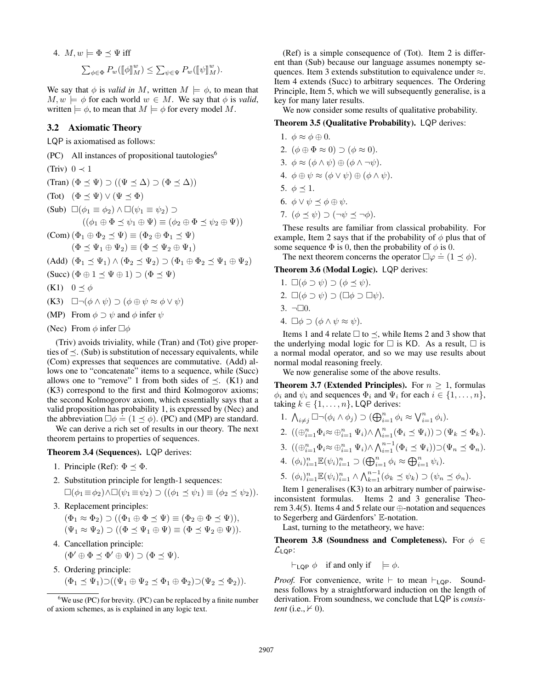4. 
$$
M, w \models \Phi \preceq \Psi
$$
 iff  

$$
\sum_{\phi \in \Phi} P_w([\![\phi]\!]_M^w) \leq \sum_{\psi \in \Psi} P_w([\![\psi]\!]_M^w).
$$

We say that  $\phi$  is *valid in* M, written  $M \models \phi$ , to mean that  $M, w \models \phi$  for each world  $w \in M$ . We say that  $\phi$  is *valid*, written  $\models \phi$ , to mean that  $M \models \phi$  for every model M.

# 3.2 Axiomatic Theory

LQP is axiomatised as follows:

- $(PC)$  All instances of propositional tautologies<sup>6</sup>
- (Triv)  $0 \prec 1$
- (Tran)  $(\Phi \preceq \Psi) \supset ((\Psi \preceq \Delta) \supset (\Phi \preceq \Delta))$
- (Tot)  $(\Phi \prec \Psi) \vee (\Psi \prec \Phi)$
- (Sub)  $\Box(\phi_1 \equiv \phi_2) \land \Box(\psi_1 \equiv \psi_2) \supset$  $((\phi_1 \oplus \Phi \preceq \psi_1 \oplus \Psi) \equiv (\phi_2 \oplus \Phi \preceq \psi_2 \oplus \Psi))$

$$
\text{(Com)} \left( \Phi_1 \oplus \Phi_2 \preceq \Psi \right) \equiv \left( \Phi_2 \oplus \Phi_1 \preceq \Psi \right) \n\left( \Phi \preceq \Psi_1 \oplus \Psi_2 \right) \equiv \left( \Phi \preceq \Psi_2 \oplus \Psi_1 \right)
$$

- (Add)  $(\Phi_1 \preceq \Psi_1) \wedge (\Phi_2 \preceq \Psi_2) \supset (\Phi_1 \oplus \Phi_2 \preceq \Psi_1 \oplus \Psi_2)$
- $(Succ)$   $(\Phi \oplus 1 \prec \Psi \oplus 1) \supset (\Phi \prec \Psi)$
- (K1)  $0 \leq \phi$
- (K3)  $\Box \neg (\phi \land \psi) \supset (\phi \oplus \psi \approx \phi \lor \psi)$
- (MP) From  $\phi \supset \psi$  and  $\phi$  infer  $\psi$
- (Nec) From  $\phi$  infer  $\Box \phi$

(Triv) avoids triviality, while (Tran) and (Tot) give properties of  $\prec$ . (Sub) is substitution of necessary equivalents, while (Com) expresses that sequences are commutative. (Add) allows one to "concatenate" items to a sequence, while (Succ) allows one to "remove" 1 from both sides of  $\prec$ . (K1) and (K3) correspond to the first and third Kolmogorov axioms; the second Kolmogorov axiom, which essentially says that a valid proposition has probability 1, is expressed by (Nec) and  $t$  and proposition has probability 1, is expressed by (i.e. and the abbreviation  $\Box \phi = (1 \preceq \phi)$ . (PC) and (MP) are standard.

We can derive a rich set of results in our theory. The next theorem pertains to properties of sequences.

Theorem 3.4 (Sequences). LQP derives:

- 1. Principle (Ref):  $\Phi \prec \Phi$ .
- 2. Substitution principle for length-1 sequences:  $\Box(\phi_1 \equiv \phi_2) \land \Box(\psi_1 \equiv \psi_2) \supset ((\phi_1 \preceq \psi_1) \equiv (\phi_2 \preceq \psi_2)).$
- 3. Replacement principles:

$$
(\Phi_1 \approx \Phi_2) \supset ((\Phi_1 \oplus \Phi \preceq \Psi) \equiv (\Phi_2 \oplus \Phi \preceq \Psi)),
$$

$$
(\Psi_1 \approx \Psi_2) \supset ((\Phi \preceq \Psi_1 \oplus \Psi) \equiv (\Phi \preceq \Psi_2 \oplus \Psi)).
$$

- 4. Cancellation principle:  $(\Phi' \oplus \Phi \preceq \Phi' \oplus \Psi) \supset (\Phi \preceq \Psi).$
- 5. Ordering principle:

$$
(\Phi_1 \preceq \Psi_1) \supset ((\Psi_1 \oplus \Psi_2 \preceq \Phi_1 \oplus \Phi_2) \supset (\Psi_2 \preceq \Phi_2)).
$$

(Ref) is a simple consequence of (Tot). Item 2 is different than (Sub) because our language assumes nonempty sequences. Item 3 extends substitution to equivalence under ≈. Item 4 extends (Succ) to arbitrary sequences. The Ordering Principle, Item 5, which we will subsequently generalise, is a key for many later results.

We now consider some results of qualitative probability.

Theorem 3.5 (Qualitative Probability). LQP derives:

- 1.  $\phi \approx \phi \oplus 0$ .
- 2.  $(\phi \oplus \Phi \approx 0) \supset (\phi \approx 0)$ .
- 3.  $\phi \approx (\phi \wedge \psi) \oplus (\phi \wedge \neg \psi)$ .
- 4.  $\phi \oplus \psi \approx (\phi \vee \psi) \oplus (\phi \wedge \psi)$ .
- 5.  $\phi \prec 1$ .
- 6.  $\phi \vee \psi \preceq \phi \oplus \psi$ .
- 7.  $(\phi \prec \psi) \supset (\neg \psi \prec \neg \phi)$ .

These results are familiar from classical probability. For example, Item 2 says that if the probability of  $\phi$  plus that of some sequence  $\Phi$  is 0, then the probability of  $\phi$  is 0.

The next theorem concerns the operator  $\Box \varphi \doteq (1 \preceq \varphi)$ .

Theorem 3.6 (Modal Logic). LQP derives:

- 1.  $\square(\phi \supset \psi) \supset (\phi \preceq \psi).$
- 2.  $\Box(\phi \supset \psi) \supset (\Box \phi \supset \Box \psi).$
- 3.  $\neg \Box 0$ .
- 4.  $\Box \phi \supset (\phi \land \psi \approx \psi).$

Items 1 and 4 relate  $\Box$  to  $\preceq$ , while Items 2 and 3 show that the underlying modal logic for  $\Box$  is KD. As a result,  $\Box$  is a normal modal operator, and so we may use results about normal modal reasoning freely.

We now generalise some of the above results.

**Theorem 3.7 (Extended Principles).** For  $n \geq 1$ , formulas  $\phi_i$  and  $\psi_i$  and sequences  $\Phi_i$  and  $\Psi_i$  for each  $i \in \{1, \dots, n\},$ taking  $k \in \{1, \ldots, n\}$ , LQP derives:

- 1.  $\bigwedge_{i \neq j} \Box \neg (\phi_i \land \phi_j) \supset (\bigoplus_{i=1}^n \phi_i \approx \bigvee_{i=1}^n \phi_i).$
- 2.  $((\bigoplus_{i=1}^n \Phi_i \approx \bigoplus_{i=1}^n \Psi_i) \wedge \bigwedge_{i=1}^n (\Phi_i \preceq \Psi_i)) \supset (\Psi_k \preceq \Phi_k).$
- 3.  $((\bigoplus_{i=1}^n \Phi_i \approx \bigoplus_{i=1}^n \Psi_i) \wedge \bigwedge_{i=1}^{n-1} (\Phi_i \preceq \Psi_i)) \supset (\Psi_n \preceq \Phi_n).$
- 4.  $(\phi_i)_{i=1}^n \mathbb{E}(\psi_i)_{i=1}^n \supset (\bigoplus_{i=1}^n \phi_i \approx \bigoplus_{i=1}^n \psi_i).$
- 5.  $(\phi_i)_{i=1}^n \mathbb{E}(\psi_i)_{i=1}^n \wedge \bigwedge_{k=1}^{n-1} (\phi_k \preceq \psi_k) \supset (\psi_n \preceq \phi_n).$

Item 1 generalises (K3) to an arbitrary number of pairwiseinconsistent formulas. Items 2 and 3 generalise Theorem 3.4(5). Items 4 and 5 relate our ⊕-notation and sequences to Segerberg and Gärdenfors'  $E$ -notation.

Last, turning to the metatheory, we have:

**Theorem 3.8 (Soundness and Completeness).** For  $\phi \in$  $\mathcal{L}_{LQP}$ :

 $\vdash_{\mathsf{LQP}} \phi$  if and only if  $\models \phi$ .

*Proof.* For convenience, write  $\vdash$  to mean  $\vdash_{\mathsf{LQP}}$ . Soundness follows by a straightforward induction on the length of derivation. From soundness, we conclude that LQP is *consistent* (i.e.,  $\nvdash$  0).

 $6$ We use (PC) for brevity. (PC) can be replaced by a finite number of axiom schemes, as is explained in any logic text.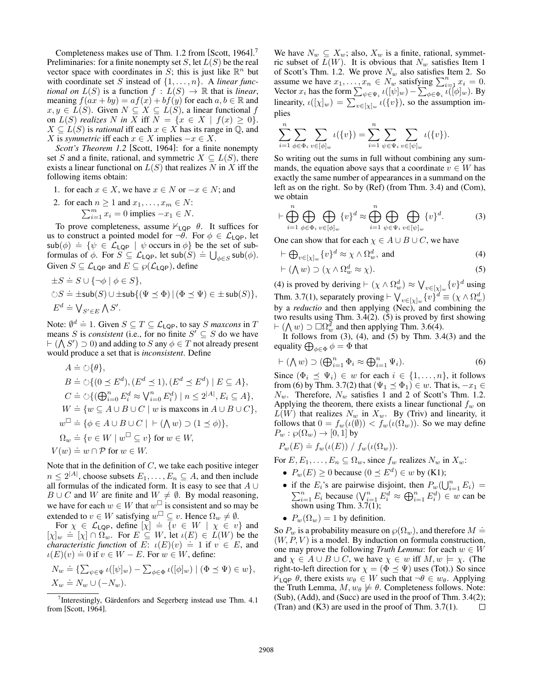Completeness makes use of Thm. 1.2 from [Scott, 1964]. 7 Preliminaries: for a finite nonempty set  $S$ , let  $L(S)$  be the real vector space with coordinates in S; this is just like  $\mathbb{R}^n$  but with coordinate set S instead of  $\{1, \ldots, n\}$ . A *linear functional on*  $L(S)$  is a function  $f : L(S) \rightarrow \mathbb{R}$  that is *linear*, meaning  $f(ax + by) = af(x) + bf(y)$  for each  $a, b \in \mathbb{R}$  and  $x, y \in L(S)$ . Given  $N \subseteq X \subseteq L(S)$ , a linear functional f on  $L(S)$  *realizes* N in X iff  $N = \{x \in X \mid f(x) \geq 0\}.$  $X \subseteq L(S)$  is *rational* iff each  $x \in X$  has its range in  $\mathbb{Q}$ , and X is *symmetric* iff each  $x \in X$  implies  $-x \in X$ .

*Scott's Theorem 1.2* [Scott, 1964]: for a finite nonempty set S and a finite, rational, and symmetric  $X \subseteq L(S)$ , there exists a linear functional on  $L(S)$  that realizes N in X iff the following items obtain:

1. for each  $x \in X$ , we have  $x \in N$  or  $-x \in N$ ; and

2. for each 
$$
n \ge 1
$$
 and  $x_1, \ldots, x_m \in N$ :  

$$
\sum_{i=1}^m x_i = 0
$$
 implies  $-x_1 \in N$ .

To prove completeness, assume  $\nvdash_{\textsf{LQP}} \theta$ . It suffices for us to construct a pointed model for  $\neg \theta$ . For  $\phi \in \mathcal{L}_{LQP}$ , let sub( $\phi$ ) = { $\psi \in \mathcal{L}_{LQP}$  |  $\psi$  occurs in  $\phi$ } be the set of sub- $\lim_{\phi \to 0}$   $\phi = \lim_{\phi \to 0}$   $\phi = \lim_{\phi \to 0}$   $\psi$  occurs in  $\phi_f$  occurs in  $\phi$  or  $\phi$ .<br>Formulas of  $\phi$ . For  $S \subseteq L_{LQP}$ , let  $\sin(S) = \bigcup_{\phi \in S} \sin(\phi)$ . Given  $S \subseteq \mathcal{L}_{\mathsf{LQP}}$  and  $E \subseteq \wp(\mathcal{L}_{\mathsf{LQP}})$ , define

$$
\begin{aligned}\n\pm S &\doteq S \cup \{\neg \phi \mid \phi \in S\}, \\
\Diamond S &\doteq \pm \mathrm{sub}(S) \cup \pm \mathrm{sub}\{(\Psi \preceq \Phi) \mid (\Phi \preceq \Psi) \in \pm \mathrm{sub}(S)\}, \\
E^d &\doteq \bigvee_{S' \in E} \bigwedge S'.\n\end{aligned}
$$

Note:  $\emptyset^d \doteq 1$ . Given  $S \subseteq T \subseteq \mathcal{L}_{LQP}$ , to say S *maxcons* in T means S is *consistent* (i.e., for no finite  $S' \subseteq S$  do we have  $\vdash (\bigwedge S') \supset 0$  and adding to S any  $\phi \in T$  not already present would produce a set that is *inconsistent*. Define

$$
A \doteq \circlearrowright \{\theta\},
$$
  
\n
$$
B \doteq \circlearrowright \{\left(0 \leq E^d\right), \left(E^d \leq 1\right), \left(E^d \leq E^d\right) \mid E \subseteq A\},
$$
  
\n
$$
C \doteq \circlearrowright \{\left(\bigoplus_{i=0}^n E_i^d \approx \bigvee_{i=0}^n E_i^d\right) \mid n \leq 2^{|A|}, E_i \subseteq A\},
$$
  
\n
$$
W \doteq \{w \subseteq A \cup B \cup C \mid w \text{ is maxcons in } A \cup B \cup C\},
$$
  
\n
$$
w^{\square} \doteq \{\phi \in A \cup B \cup C \mid \vdash (\bigwedge w) \supset (1 \leq \phi)\},
$$
  
\n
$$
\Omega_w \doteq \{v \in W \mid w^{\square} \subseteq v\} \text{ for } w \in W,
$$
  
\n
$$
V(w) \doteq w \cap \mathcal{P} \text{ for } w \in W.
$$

Note that in the definition of  $C$ , we take each positive integer  $n \leq 2^{|A|}$ , choose subsets  $E_1, \ldots, E_n \subseteq A$ , and then include all formulas of the indicated form. It is easy to see that  $A \cup$  $B \cup C$  and W are finite and  $W \neq \emptyset$ . By modal reasoning, we have for each  $w \in W$  that  $w^{\square}$  is consistent and so may be extended to  $v \in W$  satisfying  $w^{\square} \subseteq v$ . Hence  $\Omega_w \neq \emptyset$ .

For  $\chi \in \mathcal{L}_{\text{LQP}}$ , define  $[\chi] \doteq \{v \in W \mid \chi \in v\}$  and For  $\chi \in \mathcal{L}[\rho]$ , define  $[\chi] = \chi^0 \in W + \chi \in \mathcal{U}$  and  $[\chi]_w = [\chi] \cap \Omega_w$ . For  $E \subseteq W$ , let  $\iota(E) \in L(W)$  be the  $\begin{array}{lll}\n\text{(k)} & = & \text{(k)} + s \cdot \text{(k)} \\
\text{(k)} & = & \text{(k)} \cdot \text{(l)} \\
\text{(k)} & = & 1 \text{ if } v \in E, \text{ and} \\
\text{(k)} & = & 1 \text{ if } v \in E.\n\end{array}$  $\iota(E)(v) = 0$  if  $v \in W - E$ . For  $w \in W$ , define:

$$
N_w \doteq \{ \sum_{\psi \in \Psi} \iota([\psi]_w) - \sum_{\phi \in \Phi} \iota([\phi]_w) \mid (\Phi \preceq \Psi) \in w \},
$$
  

$$
X_w \doteq N_w \cup (-N_w).
$$

We have  $N_w \subseteq X_w$ ; also,  $X_w$  is a finite, rational, symmetric subset of  $L(W)$ . It is obvious that  $N_w$  satisfies Item 1 of Scott's Thm. 1.2. We prove  $N_w$  also satisfies Item 2. So assume we have  $x_1, \ldots, x_n \in N_w^{\omega}$  satisfying  $\sum_{i=1}^n x_i = 0$ . Vector  $x_i$  has the form  $\sum_{\psi \in \Psi_i} \iota([\psi]_w) - \sum_{\phi \in \Phi_i} \iota([\phi]_w)$ . By linearity,  $\iota([{\chi}]_w) = \sum_{v \in [{\chi}]_w} \iota({v})$ , so the assumption implies

$$
\sum_{i=1}^{n} \sum_{\phi \in \Phi_i} \sum_{v \in [\phi]_w} \iota(\{v\}) = \sum_{i=1}^{n} \sum_{\psi \in \Psi_i} \sum_{v \in [\psi]_w} \iota(\{v\}).
$$

So writing out the sums in full without combining any summands, the equation above says that a coordinate  $v \in W$  has exactly the same number of appearances in a summand on the left as on the right. So by (Ref) (from Thm. 3.4) and (Com), we obtain

$$
\vdash \bigoplus_{i=1}^{n} \bigoplus_{\phi \in \Phi_i} \bigoplus_{v \in [\phi]_w} \{v\}^d \approx \bigoplus_{i=1}^{n} \bigoplus_{\psi \in \Psi_i} \bigoplus_{v \in [\psi]_w} \{v\}^d. \tag{3}
$$

One can show that for each  $\chi \in A \cup B \cup C$ , we have

$$
\vdash \bigoplus_{v \in [\chi]_w} \{v\}^d \approx \chi \wedge \Omega_w^d, \text{ and } \tag{4}
$$

$$
\vdash (\bigwedge w) \supset (\chi \wedge \Omega_w^d \approx \chi). \tag{5}
$$

(4) is proved by deriving  $\vdash (\chi \wedge \Omega_w^d) \approx \bigvee_{v \in [\chi]_w} \{v\}^d$  using Thm. 3.7(1), separately proving  $\vdash \bigvee_{v \in [\chi]_w} \{v\}^d \equiv (\chi \wedge \Omega_w^d)$ by a *reductio* and then applying (Nec), and combining the two results using Thm. 3.4(2). (5) is proved by first showing  $\vdash (\bigwedge w) \supset \Box \Omega_w^d$  and then applying Thm. 3.6(4).

It follows from  $(3)$ ,  $(4)$ , and  $(5)$  by Thm. 3.4 $(3)$  and the equality  $\bigoplus_{\phi \in \Phi} \phi = \Phi$  that

$$
\vdash (\bigwedge w) \supset (\bigoplus_{i=1}^{n} \Phi_i \approx \bigoplus_{i=1}^{n} \Psi_i). \tag{6}
$$

Since  $(\Phi_i \preceq \Psi_i) \in w$  for each  $i \in \{1, \ldots, n\}$ , it follows from (6) by Thm. 3.7(2) that  $(\Psi_1 \preceq \Phi_1) \in w$ . That is,  $-x_1 \in$  $N_w$ . Therefore,  $N_w$  satisfies 1 and 2 of Scott's Thm. 1.2. Applying the theorem, there exists a linear functional  $f_w$  on  $L(W)$  that realizes  $N_w$  in  $X_w$ . By (Triv) and linearity, it follows that  $0 = f_w(\iota(\emptyset)) < f_w(\iota(\Omega_w))$ . So we may define  $P_w: \wp(\Omega_w) \to [0,1]$  by

$$
P_w(E) \doteq f_w(\iota(E)) / f_w(\iota(\Omega_w)).
$$

For  $E, E_1, \ldots, E_n \subseteq \Omega_w$ , since  $f_w$  realizes  $N_w$  in  $X_w$ :

- $P_w(E) \ge 0$  because  $(0 \le E^d) \in w$  by (K1);
- if the  $E_i$ 's are pairwise disjoint, then  $P_w(\bigcup_{i=1}^n E_i)$ P the  $E_i$ 's are pairwise disjoint, then  $P_w(\bigcup_{i=1}^n E_i) =$ <br>  $\sum_{i=1}^n E_i$  because  $(\bigvee_{i=1}^n E_i^d \approx \bigoplus_{i=1}^n E_i^d) \in w$  can be shown using Thm. 3.7(1);
- $P_w(\Omega_w) = 1$  by definition.

So  $P_w$  is a probability measure on  $\wp(\Omega_w)$ , and therefore  $M \doteq$  $(W, P, V)$  is a model. By induction on formula construction, one may prove the following *Truth Lemma*: for each  $w \in W$ and  $\chi \in A \cup B \cup C$ , we have  $\chi \in w$  iff  $M, w \models \chi$ . (The right-to-left direction for  $\chi = (\Phi \preceq \Psi)$  uses (Tot).) So since  $\mathbb{1}_{\mathsf{LQP}}$   $\theta$ , there exists  $w_{\theta} \in W$  such that  $\neg \theta \in w_{\theta}$ . Applying the Truth Lemma,  $M, w_{\theta} \not\models \theta$ . Completeness follows. Note: (Sub), (Add), and (Succ) are used in the proof of Thm. 3.4(2); (Tran) and (K3) are used in the proof of Thm. 3.7(1).  $\Box$ 

<sup>&</sup>lt;sup>7</sup>Interestingly, Gärdenfors and Segerberg instead use Thm.  $4.1$ from [Scott, 1964].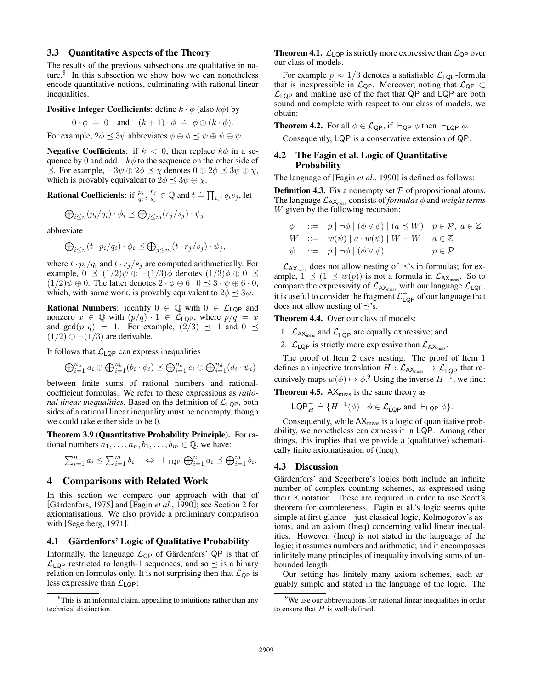#### 3.3 Quantitative Aspects of the Theory

The results of the previous subsections are qualitative in nature.<sup>8</sup> In this subsection we show how we can nonetheless encode quantitative notions, culminating with rational linear inequalities.

**Positive Integer Coefficients**: define  $k \cdot \phi$  (also  $k\phi$ ) by

$$
0 \cdot \phi = 0
$$
 and  $(k+1) \cdot \phi = \phi \oplus (k \cdot \phi)$ .

For example,  $2\phi \preceq 3\psi$  abbreviates  $\phi \oplus \phi \preceq \psi \oplus \psi \oplus \psi$ .

**Negative Coefficients:** if  $k < 0$ , then replace  $k\phi$  in a sequence by 0 and add  $-k\phi$  to the sequence on the other side of  $\preceq$ . For example,  $-3\psi \oplus 2\phi \preceq \chi$  denotes  $0 \oplus 2\phi \preceq 3\psi \oplus \chi$ , which is provably equivalent to  $2\phi \preceq 3\psi \oplus \chi$ .

**Rational Coefficients:** if  $\frac{p_i}{q_i}, \frac{r_j}{s_j}$  $\frac{r_j}{s_j} \in \mathbb{Q}$  and  $t \doteq \prod_{i,j} q_i s_j$ , let

$$
\bigoplus_{i \le n} (p_i/q_i) \cdot \phi_i \preceq \bigoplus_{j \le m} (r_j/s_j) \cdot \psi_j
$$

abbreviate

$$
\bigoplus_{i\leq n} (t \cdot p_i/q_i) \cdot \phi_i \preceq \bigoplus_{j\leq m} (t \cdot r_j/s_j) \cdot \psi_j,
$$

where  $t \cdot p_i/q_i$  and  $t \cdot r_j/s_j$  are computed arithmetically. For example,  $0 \preceq (1/2)\psi \oplus -(1/3)\phi$  denotes  $(1/3)\phi \oplus 0 \preceq$  $(1/2)\psi \oplus 0$ . The latter denotes  $2 \cdot \phi \oplus 6 \cdot 0 \preceq 3 \cdot \psi \oplus 6 \cdot 0$ , which, with some work, is provably equivalent to  $2\phi \preceq 3\psi$ .

**Rational Numbers:** identify  $0 \in \mathbb{Q}$  with  $0 \in \mathcal{L}_{LQP}$  and nonzero  $x \in \mathbb{Q}$  with  $(p/q) \cdot 1 \in \mathcal{L}_{LQP}$ , where  $p/q = x$ and  $gcd(p, q) = 1$ . For example,  $\left( \frac{2}{3} \right) \preceq 1$  and  $0 \preceq$  $(1/2) \oplus -(1/3)$  are derivable.

It follows that  $\mathcal{L}_{\text{LQP}}$  can express inequalities

$$
\bigoplus_{i=1}^{n_a} a_i \oplus \bigoplus_{i=1}^{n_b} (b_i \cdot \phi_i) \preceq \bigoplus_{i=1}^{n_c} c_i \oplus \bigoplus_{i=1}^{n_d} (d_i \cdot \psi_i)
$$

between finite sums of rational numbers and rationalcoefficient formulas. We refer to these expressions as *rational linear inequalities.* Based on the definition of  $\mathcal{L}_{LQP}$ , both sides of a rational linear inequality must be nonempty, though we could take either side to be 0.

Theorem 3.9 (Quantitative Probability Principle). For rational numbers  $a_1, \ldots, a_n, b_1, \ldots, b_m \in \mathbb{Q}$ , we have:

$$
\sum_{i=1}^n a_i \le \sum_{i=1}^m b_i \quad \Leftrightarrow \quad \vdash_{\mathsf{LQP}} \bigoplus_{i=1}^n a_i \preceq \bigoplus_{i=1}^m b_i.
$$

# 4 Comparisons with Related Work

In this section we compare our approach with that of [Gärdenfors, 1975] and [Fagin *et al.*, 1990]; see Section 2 for axiomatisations. We also provide a preliminary comparison with [Segerberg, 1971].

# 4.1 Gärdenfors' Logic of Qualitative Probability

Informally, the language  $\mathcal{L}_{QP}$  of Gärdenfors' QP is that of  $\mathcal{L}_{LQP}$  restricted to length-1 sequences, and so  $\preceq$  is a binary relation on formulas only. It is not surprising then that  $\mathcal{L}_{\text{QP}}$  is less expressive than  $\mathcal{L}_{LQP}$ :

**Theorem 4.1.**  $\mathcal{L}_{LQP}$  is strictly more expressive than  $\mathcal{L}_{QP}$  over our class of models.

For example  $p \approx 1/3$  denotes a satisfiable  $\mathcal{L}_{\text{LQP}}$ -formula that is inexpressible in  $\mathcal{L}_{QP}$ . Moreover, noting that  $\mathcal{L}_{QP} \subset$  $\mathcal{L}_{LQP}$  and making use of the fact that QP and LQP are both sound and complete with respect to our class of models, we obtain:

**Theorem 4.2.** For all  $\phi \in \mathcal{L}_{\text{QP}}$ , if  $\vdash_{\text{QP}} \phi$  then  $\vdash_{\text{LQP}} \phi$ .

Consequently, LQP is a conservative extension of QP.

### 4.2 The Fagin et al. Logic of Quantitative **Probability**

The language of [Fagin *et al.*, 1990] is defined as follows:

**Definition 4.3.** Fix a nonempty set  $P$  of propositional atoms. The language  $\mathcal{L}_{AX_{\text{meas}}}$  consists of *formulas*  $\phi$  and *weight terms* W given by the following recursion:

$$
\begin{array}{rcl}\n\phi & ::= & p \mid \neg \phi \mid (\phi \lor \phi) \mid (a \preceq W) & p \in \mathcal{P}, \ a \in \mathbb{Z} \\
W & ::= & w(\psi) \mid a \cdot w(\psi) \mid W + W & a \in \mathbb{Z} \\
\psi & ::= & p \mid \neg \phi \mid (\phi \lor \phi) & p \in \mathcal{P}\n\end{array}
$$

 $\mathcal{L}_{AX_{meas}}$  does not allow nesting of  $\preceq$ 's in formulas; for example,  $1 \leq (1 \leq w(p))$  is not a formula in  $\mathcal{L}_{AX_{\text{meas}}}$ . So to compare the expressivity of  $\mathcal{L}_{AX_{meas}}$  with our language  $\mathcal{L}_{LQP}$ , it is useful to consider the fragment  $\mathcal{L}^-_{\mathsf{LQP}}$  of our language that does not allow nesting of  $\prec$ 's.

Theorem 4.4. Over our class of models:

- 1.  $\mathcal{L}_{AX_{\text{meas}}}$  and  $\mathcal{L}_{LQP}^-$  are equally expressive; and
- 2.  $\mathcal{L}_{\text{LQP}}$  is strictly more expressive than  $\mathcal{L}_{AX_{\text{meas}}}.$

The proof of Item 2 uses nesting. The proof of Item 1 defines an injective translation  $H : \mathcal{L}_{AX_{\text{meas}}} \to \mathcal{L}_{LQP}^-$  that recursively maps  $w(\phi) \mapsto \phi$ .<sup>9</sup> Using the inverse  $H^{-1}$ , we find: **Theorem 4.5.**  $AX_{\text{meas}}$  is the same theory as

$$
\mathsf{LQP}_H^- \doteq \{ H^{-1}(\phi) \mid \phi \in \mathcal{L}^-_{\mathsf{LQP}} \text{ and } \vdash_{\mathsf{LQP}} \phi \}.
$$

Consequently, while  $AX_{\text{meas}}$  is a logic of quantitative probability, we nonetheless can express it in LQP. Among other things, this implies that we provide a (qualitative) schematically finite axiomatisation of (Ineq).

#### 4.3 Discussion

Gärdenfors' and Segerberg's logics both include an infinite number of complex counting schemes, as expressed using their  $E$  notation. These are required in order to use Scott's theorem for completeness. Fagin et al.'s logic seems quite simple at first glance—just classical logic, Kolmogorov's axioms, and an axiom (Ineq) concerning valid linear inequalities. However, (Ineq) is not stated in the language of the logic; it assumes numbers and arithmetic; and it encompasses infinitely many principles of inequality involving sums of unbounded length.

Our setting has finitely many axiom schemes, each arguably simple and stated in the language of the logic. The

<sup>&</sup>lt;sup>8</sup>This is an informal claim, appealing to intuitions rather than any technical distinction.

<sup>&</sup>lt;sup>9</sup>We use our abbreviations for rational linear inequalities in order to ensure that  $H$  is well-defined.